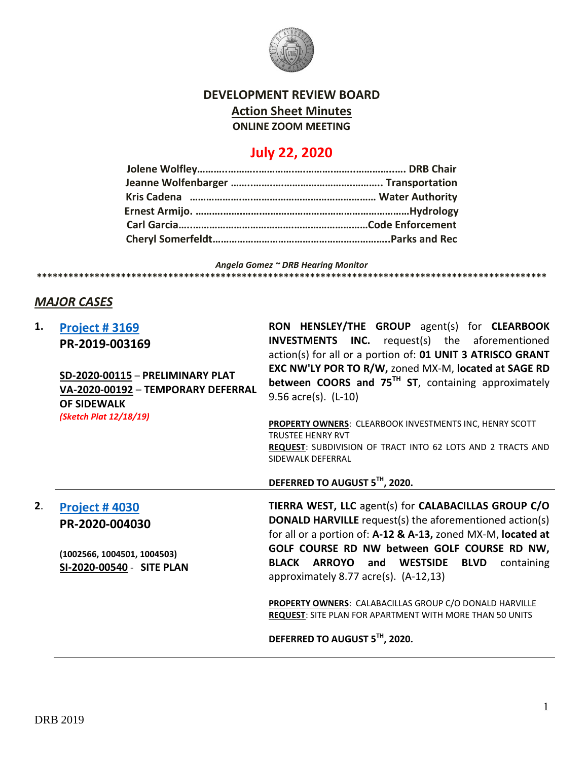

## **DEVELOPMENT REVIEW BOARD**

**Action Sheet Minutes**

**ONLINE ZOOM MEETING**

## **July 22, 2020**

*Angela Gomez ~ DRB Hearing Monitor* **\*\*\*\*\*\*\*\*\*\*\*\*\*\*\*\*\*\*\*\*\*\*\*\*\*\*\*\*\*\*\*\*\*\*\*\*\*\*\*\*\*\*\*\*\*\*\*\*\*\*\*\*\*\*\*\*\*\*\*\*\*\*\*\*\*\*\*\*\*\*\*\*\*\*\*\*\*\*\*\*\*\*\*\*\*\*\*\*\*\*\*\*\*\*\*\*\***

## *MAJOR CASES*

| 1. | <b>Project #3169</b><br>PR-2019-003169<br>SD-2020-00115 - PRELIMINARY PLAT<br>VA-2020-00192 - TEMPORARY DEFERRAL<br><b>OF SIDEWALK</b> | RON HENSLEY/THE GROUP agent(s) for CLEARBOOK<br><b>INVESTMENTS INC.</b> request(s) the aforementioned<br>action(s) for all or a portion of: 01 UNIT 3 ATRISCO GRANT<br>EXC NW'LY POR TO R/W, zoned MX-M, located at SAGE RD<br>between COORS and 75TH ST, containing approximately<br>$9.56$ acre(s). (L-10) |
|----|----------------------------------------------------------------------------------------------------------------------------------------|--------------------------------------------------------------------------------------------------------------------------------------------------------------------------------------------------------------------------------------------------------------------------------------------------------------|
|    | (Sketch Plat 12/18/19)                                                                                                                 | <b>PROPERTY OWNERS: CLEARBOOK INVESTMENTS INC, HENRY SCOTT</b><br><b>TRUSTEE HENRY RVT</b><br>REQUEST: SUBDIVISION OF TRACT INTO 62 LOTS AND 2 TRACTS AND<br>SIDEWALK DEFERRAL<br>DEFERRED TO AUGUST 5TH, 2020.                                                                                              |
|    |                                                                                                                                        |                                                                                                                                                                                                                                                                                                              |
| 2. | <b>Project #4030</b><br>PR-2020-004030                                                                                                 | TIERRA WEST, LLC agent(s) for CALABACILLAS GROUP C/O<br><b>DONALD HARVILLE</b> request(s) the aforementioned action(s)<br>for all or a portion of: A-12 & A-13, zoned MX-M, located at                                                                                                                       |
|    | (1002566, 1004501, 1004503)<br>SI-2020-00540 - SITE PLAN                                                                               | GOLF COURSE RD NW between GOLF COURSE RD NW,<br>BLACK ARROYO and WESTSIDE<br><b>BLVD</b><br>containing<br>approximately 8.77 acre(s). $(A-12,13)$                                                                                                                                                            |
|    |                                                                                                                                        | <b>PROPERTY OWNERS: CALABACILLAS GROUP C/O DONALD HARVILLE</b><br><b>REQUEST:</b> SITE PLAN FOR APARTMENT WITH MORE THAN 50 UNITS                                                                                                                                                                            |
|    |                                                                                                                                        | DEFERRED TO AUGUST 5TH, 2020.                                                                                                                                                                                                                                                                                |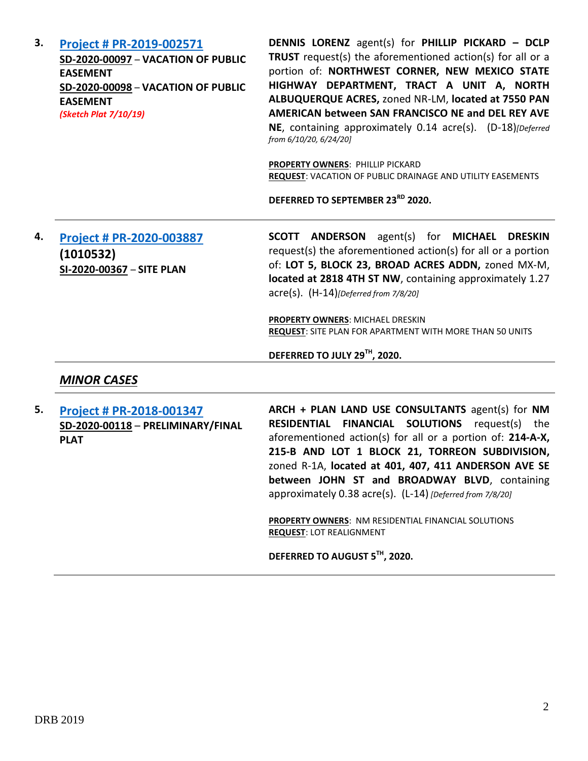| 3. | <b>Project # PR-2019-002571</b><br>SD-2020-00097 - VACATION OF PUBLIC<br><b>EASEMENT</b><br>SD-2020-00098 - VACATION OF PUBLIC<br><b>EASEMENT</b><br>(Sketch Plat 7/10/19) | DENNIS LORENZ agent(s) for PHILLIP PICKARD - DCLP<br>TRUST request(s) the aforementioned action(s) for all or a<br>portion of: NORTHWEST CORNER, NEW MEXICO STATE<br>HIGHWAY DEPARTMENT, TRACT A UNIT A, NORTH<br>ALBUQUERQUE ACRES, zoned NR-LM, located at 7550 PAN<br>AMERICAN between SAN FRANCISCO NE and DEL REY AVE<br>NE, containing approximately 0.14 acre(s). (D-18)[Deferred<br>from 6/10/20, 6/24/20]<br><b>PROPERTY OWNERS: PHILLIP PICKARD</b><br>REQUEST: VACATION OF PUBLIC DRAINAGE AND UTILITY EASEMENTS<br>DEFERRED TO SEPTEMBER 23RD 2020. |
|----|----------------------------------------------------------------------------------------------------------------------------------------------------------------------------|-----------------------------------------------------------------------------------------------------------------------------------------------------------------------------------------------------------------------------------------------------------------------------------------------------------------------------------------------------------------------------------------------------------------------------------------------------------------------------------------------------------------------------------------------------------------|
| 4. | Project # PR-2020-003887<br>(1010532)<br>SI-2020-00367 - SITE PLAN                                                                                                         | <b>SCOTT ANDERSON</b><br>agent(s)<br>for MICHAEL DRESKIN<br>request(s) the aforementioned action(s) for all or a portion<br>of: LOT 5, BLOCK 23, BROAD ACRES ADDN, zoned MX-M,<br>located at 2818 4TH ST NW, containing approximately 1.27<br>$\text{acre}(s)$ . $(H-14)$ [Deferred from 7/8/20]<br>PROPERTY OWNERS: MICHAEL DRESKIN<br><b>REQUEST: SITE PLAN FOR APARTMENT WITH MORE THAN 50 UNITS</b><br>DEFERRED TO JULY 29TH, 2020.                                                                                                                         |
|    | <b>MINOR CASES</b>                                                                                                                                                         |                                                                                                                                                                                                                                                                                                                                                                                                                                                                                                                                                                 |
| 5. | Project # PR-2018-001347<br>SD-2020-00118 - PRELIMINARY/FINAL<br><b>PLAT</b>                                                                                               | ARCH + PLAN LAND USE CONSULTANTS agent(s) for NM<br>RESIDENTIAL FINANCIAL SOLUTIONS request(s) the<br>aforementioned action(s) for all or a portion of: 214-A-X,<br>215-B AND LOT 1 BLOCK 21, TORREON SUBDIVISION,<br>zoned R-1A, located at 401, 407, 411 ANDERSON AVE SE<br>between JOHN ST and BROADWAY BLVD, containing<br>approximately 0.38 acre(s). (L-14) [Deferred from 7/8/20]                                                                                                                                                                        |

**PROPERTY OWNERS**: NM RESIDENTIAL FINANCIAL SOLUTIONS **REQUEST**: LOT REALIGNMENT

**DEFERRED TO AUGUST 5TH, 2020.**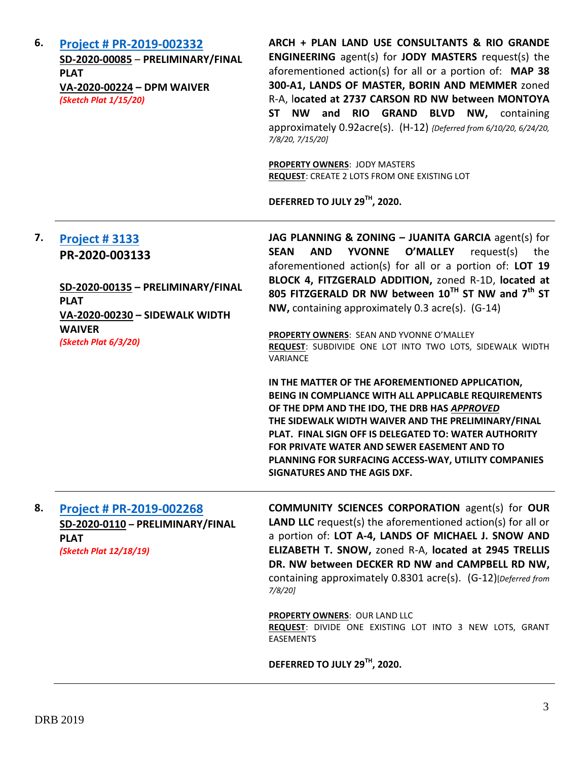| 6. | Project # PR-2019-002332<br>SD-2020-00085 - PRELIMINARY/FINAL<br><b>PLAT</b><br>VA-2020-00224 - DPM WAIVER<br>(Sketch Plat 1/15/20) | ARCH + PLAN LAND USE CONSULTANTS & RIO GRANDE<br>ENGINEERING agent(s) for JODY MASTERS request(s) the<br>aforementioned action(s) for all or a portion of: MAP 38<br>300-A1, LANDS OF MASTER, BORIN AND MEMMER zoned<br>R-A, located at 2737 CARSON RD NW between MONTOYA<br><b>NW</b><br>and RIO GRAND BLVD NW, containing<br><b>ST</b><br>approximately 0.92acre(s). (H-12) {Deferred from 6/10/20, 6/24/20,<br>7/8/20, 7/15/20]<br><b>PROPERTY OWNERS: JODY MASTERS</b><br><b>REQUEST: CREATE 2 LOTS FROM ONE EXISTING LOT</b><br>DEFERRED TO JULY 29TH, 2020. |
|----|-------------------------------------------------------------------------------------------------------------------------------------|-------------------------------------------------------------------------------------------------------------------------------------------------------------------------------------------------------------------------------------------------------------------------------------------------------------------------------------------------------------------------------------------------------------------------------------------------------------------------------------------------------------------------------------------------------------------|
| 7. | <b>Project #3133</b>                                                                                                                | JAG PLANNING & ZONING - JUANITA GARCIA agent(s) for                                                                                                                                                                                                                                                                                                                                                                                                                                                                                                               |
|    | PR-2020-003133                                                                                                                      | <b>YVONNE</b><br><b>O'MALLEY</b><br><b>SEAN</b><br><b>AND</b><br>request(s) the                                                                                                                                                                                                                                                                                                                                                                                                                                                                                   |
|    |                                                                                                                                     | aforementioned action(s) for all or a portion of: LOT 19<br>BLOCK 4, FITZGERALD ADDITION, zoned R-1D, located at                                                                                                                                                                                                                                                                                                                                                                                                                                                  |
|    | SD-2020-00135 - PRELIMINARY/FINAL<br><b>PLAT</b>                                                                                    | 805 FITZGERALD DR NW between 10TH ST NW and 7th ST                                                                                                                                                                                                                                                                                                                                                                                                                                                                                                                |
|    | VA-2020-00230 - SIDEWALK WIDTH                                                                                                      | NW, containing approximately 0.3 acre(s). (G-14)                                                                                                                                                                                                                                                                                                                                                                                                                                                                                                                  |
|    | <b>WAIVER</b><br>(Sketch Plat 6/3/20)                                                                                               | PROPERTY OWNERS: SEAN AND YVONNE O'MALLEY                                                                                                                                                                                                                                                                                                                                                                                                                                                                                                                         |
|    |                                                                                                                                     | REQUEST: SUBDIVIDE ONE LOT INTO TWO LOTS, SIDEWALK WIDTH<br>VARIANCE                                                                                                                                                                                                                                                                                                                                                                                                                                                                                              |
|    |                                                                                                                                     | IN THE MATTER OF THE AFOREMENTIONED APPLICATION,<br>BEING IN COMPLIANCE WITH ALL APPLICABLE REQUIREMENTS<br>OF THE DPM AND THE IDO, THE DRB HAS APPROVED<br>THE SIDEWALK WIDTH WAIVER AND THE PRELIMINARY/FINAL<br>PLAT. FINAL SIGN OFF IS DELEGATED TO: WATER AUTHORITY<br>FOR PRIVATE WATER AND SEWER EASEMENT AND TO<br>PLANNING FOR SURFACING ACCESS-WAY, UTILITY COMPANIES<br>SIGNATURES AND THE AGIS DXF.                                                                                                                                                   |
| 8. | Project # PR-2019-002268                                                                                                            | <b>COMMUNITY SCIENCES CORPORATION agent(s) for OUR</b>                                                                                                                                                                                                                                                                                                                                                                                                                                                                                                            |
|    | SD-2020-0110 - PRELIMINARY/FINAL                                                                                                    | <b>LAND LLC</b> request(s) the aforementioned action(s) for all or                                                                                                                                                                                                                                                                                                                                                                                                                                                                                                |
|    | <b>PLAT</b><br>(Sketch Plat 12/18/19)                                                                                               | a portion of: LOT A-4, LANDS OF MICHAEL J. SNOW AND<br>ELIZABETH T. SNOW, zoned R-A, located at 2945 TRELLIS                                                                                                                                                                                                                                                                                                                                                                                                                                                      |
|    |                                                                                                                                     | DR. NW between DECKER RD NW and CAMPBELL RD NW,                                                                                                                                                                                                                                                                                                                                                                                                                                                                                                                   |
|    |                                                                                                                                     | containing approximately 0.8301 acre(s). (G-12)[Deferred from<br>$7/8/20$ ]                                                                                                                                                                                                                                                                                                                                                                                                                                                                                       |
|    |                                                                                                                                     | <b>PROPERTY OWNERS: OUR LAND LLC</b><br>REQUEST: DIVIDE ONE EXISTING LOT INTO 3 NEW LOTS, GRANT<br><b>EASEMENTS</b>                                                                                                                                                                                                                                                                                                                                                                                                                                               |
|    |                                                                                                                                     | DEFERRED TO JULY 29TH, 2020.                                                                                                                                                                                                                                                                                                                                                                                                                                                                                                                                      |